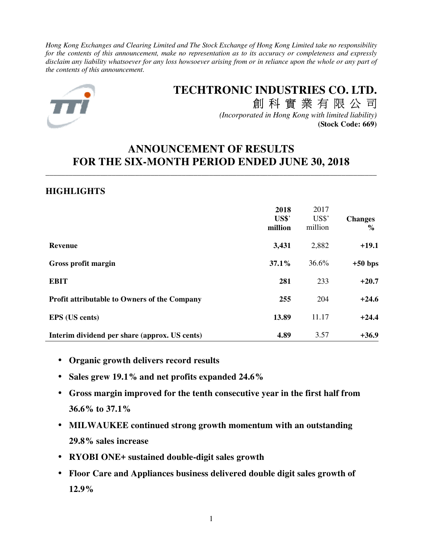*Hong Kong Exchanges and Clearing Limited and The Stock Exchange of Hong Kong Limited take no responsibility for the contents of this announcement, make no representation as to its accuracy or completeness and expressly disclaim any liability whatsoever for any loss howsoever arising from or in reliance upon the whole or any part of the contents of this announcement.* 



# **TECHTRONIC INDUSTRIES CO. LTD.** 創 科 實 業 有 限 公 司

*(Incorporated in Hong Kong with limited liability)* **(Stock Code: 669)**

# **ANNOUNCEMENT OF RESULTS FOR THE SIX-MONTH PERIOD ENDED JUNE 30, 2018**

\_\_\_\_\_\_\_\_\_\_\_\_\_\_\_\_\_\_\_\_\_\_\_\_\_\_\_\_\_\_\_\_\_\_\_\_\_\_\_\_\_\_\_\_\_\_\_\_\_\_\_\_\_\_\_\_\_\_\_\_\_\_\_\_\_\_\_\_\_\_\_\_\_\_\_\_\_\_\_\_\_\_\_\_\_

## **HIGHLIGHTS**

|                                                     | 2018<br>US\$'<br>million | 2017<br>US\$'<br>million | <b>Changes</b><br>$\%$ |
|-----------------------------------------------------|--------------------------|--------------------------|------------------------|
| <b>Revenue</b>                                      | 3,431                    | 2,882                    | $+19.1$                |
| Gross profit margin                                 | 37.1%                    | 36.6%                    | $+50$ bps              |
| <b>EBIT</b>                                         | 281                      | 233                      | $+20.7$                |
| <b>Profit attributable to Owners of the Company</b> | 255                      | 204                      | $+24.6$                |
| <b>EPS</b> (US cents)                               | 13.89                    | 11.17                    | $+24.4$                |
| Interim dividend per share (approx. US cents)       | 4.89                     | 3.57                     | $+36.9$                |

- **Organic growth delivers record results**
- **Sales grew 19.1% and net profits expanded 24.6%**
- **Gross margin improved for the tenth consecutive year in the first half from 36.6% to 37.1%**
- **MILWAUKEE continued strong growth momentum with an outstanding 29.8% sales increase**
- **RYOBI ONE+ sustained double-digit sales growth**
- **Floor Care and Appliances business delivered double digit sales growth of 12.9%**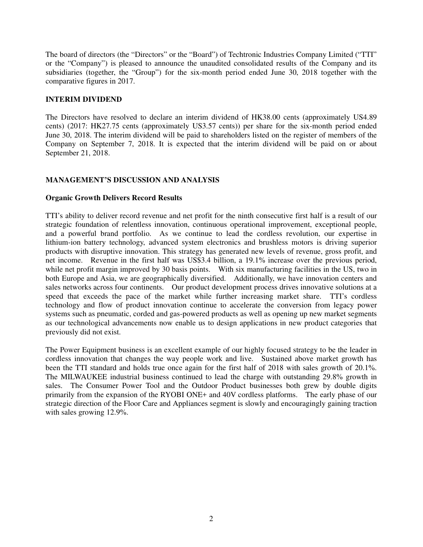The board of directors (the "Directors" or the "Board") of Techtronic Industries Company Limited ("TTI" or the "Company") is pleased to announce the unaudited consolidated results of the Company and its subsidiaries (together, the "Group") for the six-month period ended June 30, 2018 together with the comparative figures in 2017.

## **INTERIM DIVIDEND**

The Directors have resolved to declare an interim dividend of HK38.00 cents (approximately US4.89 cents) (2017: HK27.75 cents (approximately US3.57 cents)) per share for the six-month period ended June 30, 2018. The interim dividend will be paid to shareholders listed on the register of members of the Company on September 7, 2018. It is expected that the interim dividend will be paid on or about September 21, 2018.

## **MANAGEMENT'S DISCUSSION AND ANALYSIS**

## **Organic Growth Delivers Record Results**

TTI's ability to deliver record revenue and net profit for the ninth consecutive first half is a result of our strategic foundation of relentless innovation, continuous operational improvement, exceptional people, and a powerful brand portfolio. As we continue to lead the cordless revolution, our expertise in lithium-ion battery technology, advanced system electronics and brushless motors is driving superior products with disruptive innovation. This strategy has generated new levels of revenue, gross profit, and net income. Revenue in the first half was US\$3.4 billion, a 19.1% increase over the previous period, while net profit margin improved by 30 basis points. With six manufacturing facilities in the US, two in both Europe and Asia, we are geographically diversified. Additionally, we have innovation centers and sales networks across four continents. Our product development process drives innovative solutions at a speed that exceeds the pace of the market while further increasing market share. TTI's cordless technology and flow of product innovation continue to accelerate the conversion from legacy power systems such as pneumatic, corded and gas-powered products as well as opening up new market segments as our technological advancements now enable us to design applications in new product categories that previously did not exist.

The Power Equipment business is an excellent example of our highly focused strategy to be the leader in cordless innovation that changes the way people work and live. Sustained above market growth has been the TTI standard and holds true once again for the first half of 2018 with sales growth of 20.1%. The MILWAUKEE industrial business continued to lead the charge with outstanding 29.8% growth in sales. The Consumer Power Tool and the Outdoor Product businesses both grew by double digits primarily from the expansion of the RYOBI ONE+ and 40V cordless platforms. The early phase of our strategic direction of the Floor Care and Appliances segment is slowly and encouragingly gaining traction with sales growing 12.9%.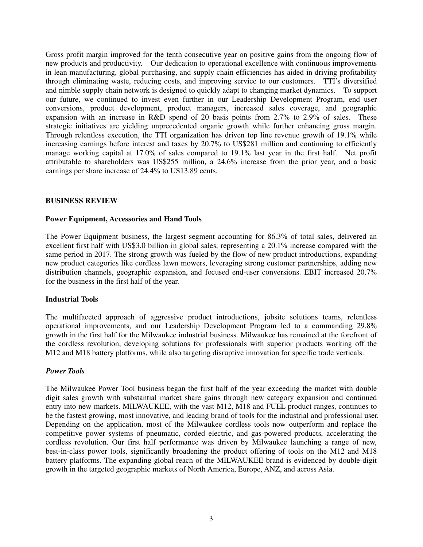Gross profit margin improved for the tenth consecutive year on positive gains from the ongoing flow of new products and productivity. Our dedication to operational excellence with continuous improvements in lean manufacturing, global purchasing, and supply chain efficiencies has aided in driving profitability through eliminating waste, reducing costs, and improving service to our customers. TTI's diversified and nimble supply chain network is designed to quickly adapt to changing market dynamics. To support our future, we continued to invest even further in our Leadership Development Program, end user conversions, product development, product managers, increased sales coverage, and geographic expansion with an increase in R&D spend of 20 basis points from 2.7% to 2.9% of sales. These strategic initiatives are yielding unprecedented organic growth while further enhancing gross margin. Through relentless execution, the TTI organization has driven top line revenue growth of 19.1% while increasing earnings before interest and taxes by 20.7% to US\$281 million and continuing to efficiently manage working capital at 17.0% of sales compared to 19.1% last year in the first half. Net profit attributable to shareholders was US\$255 million, a 24.6% increase from the prior year, and a basic earnings per share increase of 24.4% to US13.89 cents.

## **BUSINESS REVIEW**

## **Power Equipment, Accessories and Hand Tools**

The Power Equipment business, the largest segment accounting for 86.3% of total sales, delivered an excellent first half with US\$3.0 billion in global sales, representing a 20.1% increase compared with the same period in 2017. The strong growth was fueled by the flow of new product introductions, expanding new product categories like cordless lawn mowers, leveraging strong customer partnerships, adding new distribution channels, geographic expansion, and focused end-user conversions. EBIT increased 20.7% for the business in the first half of the year.

## **Industrial Tools**

The multifaceted approach of aggressive product introductions, jobsite solutions teams, relentless operational improvements, and our Leadership Development Program led to a commanding 29.8% growth in the first half for the Milwaukee industrial business. Milwaukee has remained at the forefront of the cordless revolution, developing solutions for professionals with superior products working off the M12 and M18 battery platforms, while also targeting disruptive innovation for specific trade verticals.

## *Power Tools*

The Milwaukee Power Tool business began the first half of the year exceeding the market with double digit sales growth with substantial market share gains through new category expansion and continued entry into new markets. MILWAUKEE, with the vast M12, M18 and FUEL product ranges, continues to be the fastest growing, most innovative, and leading brand of tools for the industrial and professional user. Depending on the application, most of the Milwaukee cordless tools now outperform and replace the competitive power systems of pneumatic, corded electric, and gas-powered products, accelerating the cordless revolution. Our first half performance was driven by Milwaukee launching a range of new, best-in-class power tools, significantly broadening the product offering of tools on the M12 and M18 battery platforms. The expanding global reach of the MILWAUKEE brand is evidenced by double-digit growth in the targeted geographic markets of North America, Europe, ANZ, and across Asia.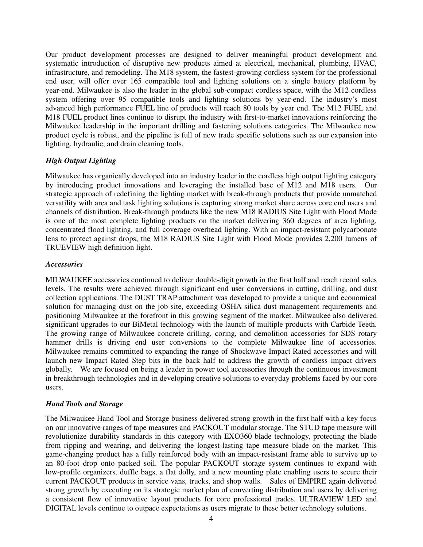Our product development processes are designed to deliver meaningful product development and systematic introduction of disruptive new products aimed at electrical, mechanical, plumbing, HVAC, infrastructure, and remodeling. The M18 system, the fastest-growing cordless system for the professional end user, will offer over 165 compatible tool and lighting solutions on a single battery platform by year-end. Milwaukee is also the leader in the global sub-compact cordless space, with the M12 cordless system offering over 95 compatible tools and lighting solutions by year-end. The industry's most advanced high performance FUEL line of products will reach 80 tools by year end. The M12 FUEL and M18 FUEL product lines continue to disrupt the industry with first-to-market innovations reinforcing the Milwaukee leadership in the important drilling and fastening solutions categories. The Milwaukee new product cycle is robust, and the pipeline is full of new trade specific solutions such as our expansion into lighting, hydraulic, and drain cleaning tools.

## *High Output Lighting*

Milwaukee has organically developed into an industry leader in the cordless high output lighting category by introducing product innovations and leveraging the installed base of M12 and M18 users. Our strategic approach of redefining the lighting market with break-through products that provide unmatched versatility with area and task lighting solutions is capturing strong market share across core end users and channels of distribution. Break-through products like the new M18 RADIUS Site Light with Flood Mode is one of the most complete lighting products on the market delivering 360 degrees of area lighting, concentrated flood lighting, and full coverage overhead lighting. With an impact-resistant polycarbonate lens to protect against drops, the M18 RADIUS Site Light with Flood Mode provides 2,200 lumens of TRUEVIEW high definition light.

## *Accessories*

MILWAUKEE accessories continued to deliver double-digit growth in the first half and reach record sales levels. The results were achieved through significant end user conversions in cutting, drilling, and dust collection applications. The DUST TRAP attachment was developed to provide a unique and economical solution for managing dust on the job site, exceeding OSHA silica dust management requirements and positioning Milwaukee at the forefront in this growing segment of the market. Milwaukee also delivered significant upgrades to our BiMetal technology with the launch of multiple products with Carbide Teeth. The growing range of Milwaukee concrete drilling, coring, and demolition accessories for SDS rotary hammer drills is driving end user conversions to the complete Milwaukee line of accessories. Milwaukee remains committed to expanding the range of Shockwave Impact Rated accessories and will launch new Impact Rated Step bits in the back half to address the growth of cordless impact drivers globally. We are focused on being a leader in power tool accessories through the continuous investment in breakthrough technologies and in developing creative solutions to everyday problems faced by our core users.

## *Hand Tools and Storage*

The Milwaukee Hand Tool and Storage business delivered strong growth in the first half with a key focus on our innovative ranges of tape measures and PACKOUT modular storage. The STUD tape measure will revolutionize durability standards in this category with EXO360 blade technology, protecting the blade from ripping and wearing, and delivering the longest-lasting tape measure blade on the market. This game-changing product has a fully reinforced body with an impact-resistant frame able to survive up to an 80-foot drop onto packed soil. The popular PACKOUT storage system continues to expand with low-profile organizers, duffle bags, a flat dolly, and a new mounting plate enabling users to secure their current PACKOUT products in service vans, trucks, and shop walls. Sales of EMPIRE again delivered strong growth by executing on its strategic market plan of converting distribution and users by delivering a consistent flow of innovative layout products for core professional trades. ULTRAVIEW LED and DIGITAL levels continue to outpace expectations as users migrate to these better technology solutions.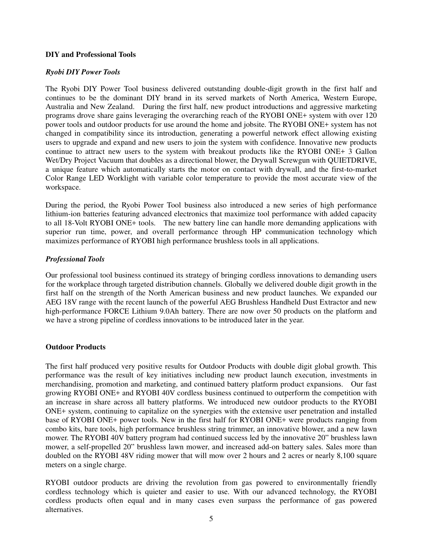## **DIY and Professional Tools**

## *Ryobi DIY Power Tools*

The Ryobi DIY Power Tool business delivered outstanding double-digit growth in the first half and continues to be the dominant DIY brand in its served markets of North America, Western Europe, Australia and New Zealand. During the first half, new product introductions and aggressive marketing programs drove share gains leveraging the overarching reach of the RYOBI ONE+ system with over 120 power tools and outdoor products for use around the home and jobsite. The RYOBI ONE+ system has not changed in compatibility since its introduction, generating a powerful network effect allowing existing users to upgrade and expand and new users to join the system with confidence. Innovative new products continue to attract new users to the system with breakout products like the RYOBI ONE+ 3 Gallon Wet/Dry Project Vacuum that doubles as a directional blower, the Drywall Screwgun with OUIETDRIVE, a unique feature which automatically starts the motor on contact with drywall, and the first-to-market Color Range LED Worklight with variable color temperature to provide the most accurate view of the workspace.

During the period, the Ryobi Power Tool business also introduced a new series of high performance lithium-ion batteries featuring advanced electronics that maximize tool performance with added capacity to all 18-Volt RYOBI ONE+ tools. The new battery line can handle more demanding applications with superior run time, power, and overall performance through HP communication technology which maximizes performance of RYOBI high performance brushless tools in all applications.

## *Professional Tools*

Our professional tool business continued its strategy of bringing cordless innovations to demanding users for the workplace through targeted distribution channels. Globally we delivered double digit growth in the first half on the strength of the North American business and new product launches. We expanded our AEG 18V range with the recent launch of the powerful AEG Brushless Handheld Dust Extractor and new high-performance FORCE Lithium 9.0Ah battery. There are now over 50 products on the platform and we have a strong pipeline of cordless innovations to be introduced later in the year.

## **Outdoor Products**

The first half produced very positive results for Outdoor Products with double digit global growth. This performance was the result of key initiatives including new product launch execution, investments in merchandising, promotion and marketing, and continued battery platform product expansions. Our fast growing RYOBI ONE+ and RYOBI 40V cordless business continued to outperform the competition with an increase in share across all battery platforms. We introduced new outdoor products to the RYOBI ONE+ system, continuing to capitalize on the synergies with the extensive user penetration and installed base of RYOBI ONE+ power tools. New in the first half for RYOBI ONE+ were products ranging from combo kits, bare tools, high performance brushless string trimmer, an innovative blower, and a new lawn mower. The RYOBI 40V battery program had continued success led by the innovative 20" brushless lawn mower, a self-propelled 20" brushless lawn mower, and increased add-on battery sales. Sales more than doubled on the RYOBI 48V riding mower that will mow over 2 hours and 2 acres or nearly 8,100 square meters on a single charge.

RYOBI outdoor products are driving the revolution from gas powered to environmentally friendly cordless technology which is quieter and easier to use. With our advanced technology, the RYOBI cordless products often equal and in many cases even surpass the performance of gas powered alternatives.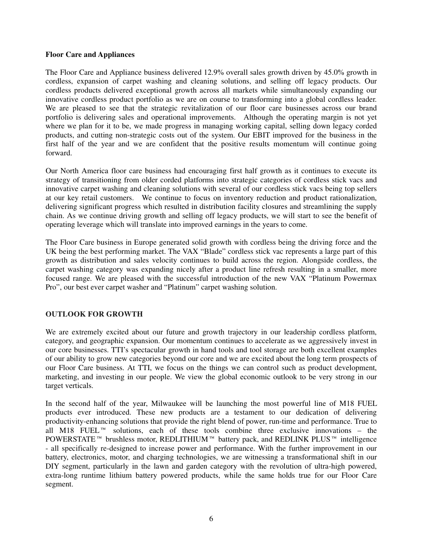#### **Floor Care and Appliances**

The Floor Care and Appliance business delivered 12.9% overall sales growth driven by 45.0% growth in cordless, expansion of carpet washing and cleaning solutions, and selling off legacy products. Our cordless products delivered exceptional growth across all markets while simultaneously expanding our innovative cordless product portfolio as we are on course to transforming into a global cordless leader. We are pleased to see that the strategic revitalization of our floor care businesses across our brand portfolio is delivering sales and operational improvements. Although the operating margin is not yet where we plan for it to be, we made progress in managing working capital, selling down legacy corded products, and cutting non-strategic costs out of the system. Our EBIT improved for the business in the first half of the year and we are confident that the positive results momentum will continue going forward.

Our North America floor care business had encouraging first half growth as it continues to execute its strategy of transitioning from older corded platforms into strategic categories of cordless stick vacs and innovative carpet washing and cleaning solutions with several of our cordless stick vacs being top sellers at our key retail customers. We continue to focus on inventory reduction and product rationalization, delivering significant progress which resulted in distribution facility closures and streamlining the supply chain. As we continue driving growth and selling off legacy products, we will start to see the benefit of operating leverage which will translate into improved earnings in the years to come.

The Floor Care business in Europe generated solid growth with cordless being the driving force and the UK being the best performing market. The VAX "Blade" cordless stick vac represents a large part of this growth as distribution and sales velocity continues to build across the region. Alongside cordless, the carpet washing category was expanding nicely after a product line refresh resulting in a smaller, more focused range. We are pleased with the successful introduction of the new VAX "Platinum Powermax Pro", our best ever carpet washer and "Platinum" carpet washing solution.

## **OUTLOOK FOR GROWTH**

We are extremely excited about our future and growth trajectory in our leadership cordless platform, category, and geographic expansion. Our momentum continues to accelerate as we aggressively invest in our core businesses. TTI's spectacular growth in hand tools and tool storage are both excellent examples of our ability to grow new categories beyond our core and we are excited about the long term prospects of our Floor Care business. At TTI, we focus on the things we can control such as product development, marketing, and investing in our people. We view the global economic outlook to be very strong in our target verticals.

In the second half of the year, Milwaukee will be launching the most powerful line of M18 FUEL products ever introduced. These new products are a testament to our dedication of delivering productivity-enhancing solutions that provide the right blend of power, run-time and performance. True to all M18 FUEL<sup>™</sup> solutions, each of these tools combine three exclusive innovations – the POWERSTATE™ brushless motor, REDLITHIUM™ battery pack, and REDLINK PLUS™ intelligence - all specifically re-designed to increase power and performance. With the further improvement in our battery, electronics, motor, and charging technologies, we are witnessing a transformational shift in our DIY segment, particularly in the lawn and garden category with the revolution of ultra-high powered, extra-long runtime lithium battery powered products, while the same holds true for our Floor Care segment.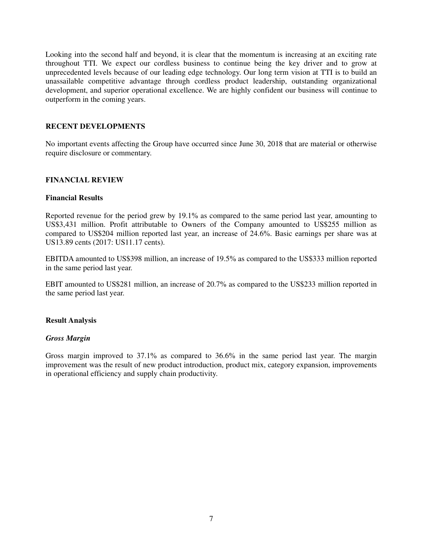Looking into the second half and beyond, it is clear that the momentum is increasing at an exciting rate throughout TTI. We expect our cordless business to continue being the key driver and to grow at unprecedented levels because of our leading edge technology. Our long term vision at TTI is to build an unassailable competitive advantage through cordless product leadership, outstanding organizational development, and superior operational excellence. We are highly confident our business will continue to outperform in the coming years.

#### **RECENT DEVELOPMENTS**

No important events affecting the Group have occurred since June 30, 2018 that are material or otherwise require disclosure or commentary.

## **FINANCIAL REVIEW**

#### **Financial Results**

Reported revenue for the period grew by 19.1% as compared to the same period last year, amounting to US\$3,431 million. Profit attributable to Owners of the Company amounted to US\$255 million as compared to US\$204 million reported last year, an increase of 24.6%. Basic earnings per share was at US13.89 cents (2017: US11.17 cents).

EBITDA amounted to US\$398 million, an increase of 19.5% as compared to the US\$333 million reported in the same period last year.

EBIT amounted to US\$281 million, an increase of 20.7% as compared to the US\$233 million reported in the same period last year.

## **Result Analysis**

#### *Gross Margin*

Gross margin improved to 37.1% as compared to 36.6% in the same period last year. The margin improvement was the result of new product introduction, product mix, category expansion, improvements in operational efficiency and supply chain productivity.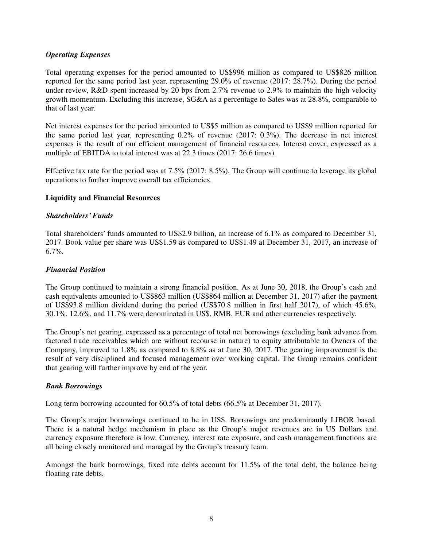## *Operating Expenses*

Total operating expenses for the period amounted to US\$996 million as compared to US\$826 million reported for the same period last year, representing 29.0% of revenue (2017: 28.7%). During the period under review, R&D spent increased by 20 bps from 2.7% revenue to 2.9% to maintain the high velocity growth momentum. Excluding this increase, SG&A as a percentage to Sales was at 28.8%, comparable to that of last year.

Net interest expenses for the period amounted to US\$5 million as compared to US\$9 million reported for the same period last year, representing 0.2% of revenue (2017: 0.3%). The decrease in net interest expenses is the result of our efficient management of financial resources. Interest cover, expressed as a multiple of EBITDA to total interest was at 22.3 times (2017: 26.6 times).

Effective tax rate for the period was at 7.5% (2017: 8.5%). The Group will continue to leverage its global operations to further improve overall tax efficiencies.

## **Liquidity and Financial Resources**

## *Shareholders' Funds*

Total shareholders' funds amounted to US\$2.9 billion, an increase of 6.1% as compared to December 31, 2017. Book value per share was US\$1.59 as compared to US\$1.49 at December 31, 2017, an increase of 6.7%.

## *Financial Position*

The Group continued to maintain a strong financial position. As at June 30, 2018, the Group's cash and cash equivalents amounted to US\$863 million (US\$864 million at December 31, 2017) after the payment of US\$93.8 million dividend during the period (US\$70.8 million in first half 2017), of which 45.6%, 30.1%, 12.6%, and 11.7% were denominated in US\$, RMB, EUR and other currencies respectively.

The Group's net gearing, expressed as a percentage of total net borrowings (excluding bank advance from factored trade receivables which are without recourse in nature) to equity attributable to Owners of the Company, improved to 1.8% as compared to 8.8% as at June 30, 2017. The gearing improvement is the result of very disciplined and focused management over working capital. The Group remains confident that gearing will further improve by end of the year.

## *Bank Borrowings*

Long term borrowing accounted for 60.5% of total debts (66.5% at December 31, 2017).

The Group's major borrowings continued to be in US\$. Borrowings are predominantly LIBOR based. There is a natural hedge mechanism in place as the Group's major revenues are in US Dollars and currency exposure therefore is low. Currency, interest rate exposure, and cash management functions are all being closely monitored and managed by the Group's treasury team.

Amongst the bank borrowings, fixed rate debts account for 11.5% of the total debt, the balance being floating rate debts.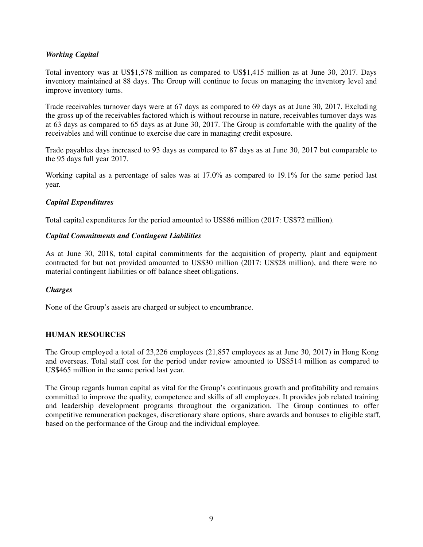## *Working Capital*

Total inventory was at US\$1,578 million as compared to US\$1,415 million as at June 30, 2017. Days inventory maintained at 88 days. The Group will continue to focus on managing the inventory level and improve inventory turns.

Trade receivables turnover days were at 67 days as compared to 69 days as at June 30, 2017. Excluding the gross up of the receivables factored which is without recourse in nature, receivables turnover days was at 63 days as compared to 65 days as at June 30, 2017. The Group is comfortable with the quality of the receivables and will continue to exercise due care in managing credit exposure.

Trade payables days increased to 93 days as compared to 87 days as at June 30, 2017 but comparable to the 95 days full year 2017.

Working capital as a percentage of sales was at 17.0% as compared to 19.1% for the same period last year.

## *Capital Expenditures*

Total capital expenditures for the period amounted to US\$86 million (2017: US\$72 million).

## *Capital Commitments and Contingent Liabilities*

As at June 30, 2018, total capital commitments for the acquisition of property, plant and equipment contracted for but not provided amounted to US\$30 million (2017: US\$28 million), and there were no material contingent liabilities or off balance sheet obligations.

## *Charges*

None of the Group's assets are charged or subject to encumbrance.

## **HUMAN RESOURCES**

The Group employed a total of 23,226 employees (21,857 employees as at June 30, 2017) in Hong Kong and overseas. Total staff cost for the period under review amounted to US\$514 million as compared to US\$465 million in the same period last year.

The Group regards human capital as vital for the Group's continuous growth and profitability and remains committed to improve the quality, competence and skills of all employees. It provides job related training and leadership development programs throughout the organization. The Group continues to offer competitive remuneration packages, discretionary share options, share awards and bonuses to eligible staff, based on the performance of the Group and the individual employee.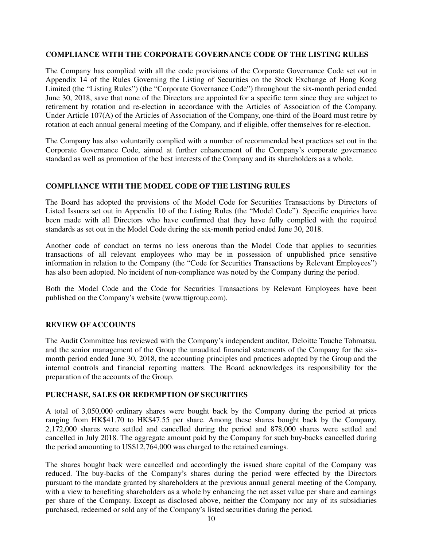## **COMPLIANCE WITH THE CORPORATE GOVERNANCE CODE OF THE LISTING RULES**

The Company has complied with all the code provisions of the Corporate Governance Code set out in Appendix 14 of the Rules Governing the Listing of Securities on the Stock Exchange of Hong Kong Limited (the "Listing Rules") (the "Corporate Governance Code") throughout the six-month period ended June 30, 2018, save that none of the Directors are appointed for a specific term since they are subject to retirement by rotation and re-election in accordance with the Articles of Association of the Company. Under Article 107(A) of the Articles of Association of the Company, one-third of the Board must retire by rotation at each annual general meeting of the Company, and if eligible, offer themselves for re-election.

The Company has also voluntarily complied with a number of recommended best practices set out in the Corporate Governance Code, aimed at further enhancement of the Company's corporate governance standard as well as promotion of the best interests of the Company and its shareholders as a whole.

## **COMPLIANCE WITH THE MODEL CODE OF THE LISTING RULES**

The Board has adopted the provisions of the Model Code for Securities Transactions by Directors of Listed Issuers set out in Appendix 10 of the Listing Rules (the "Model Code"). Specific enquiries have been made with all Directors who have confirmed that they have fully complied with the required standards as set out in the Model Code during the six-month period ended June 30, 2018.

Another code of conduct on terms no less onerous than the Model Code that applies to securities transactions of all relevant employees who may be in possession of unpublished price sensitive information in relation to the Company (the "Code for Securities Transactions by Relevant Employees") has also been adopted. No incident of non-compliance was noted by the Company during the period.

Both the Model Code and the Code for Securities Transactions by Relevant Employees have been published on the Company's website (www.ttigroup.com).

## **REVIEW OF ACCOUNTS**

The Audit Committee has reviewed with the Company's independent auditor, Deloitte Touche Tohmatsu, and the senior management of the Group the unaudited financial statements of the Company for the sixmonth period ended June 30, 2018, the accounting principles and practices adopted by the Group and the internal controls and financial reporting matters. The Board acknowledges its responsibility for the preparation of the accounts of the Group.

## **PURCHASE, SALES OR REDEMPTION OF SECURITIES**

A total of 3,050,000 ordinary shares were bought back by the Company during the period at prices ranging from HK\$41.70 to HK\$47.55 per share. Among these shares bought back by the Company, 2,172,000 shares were settled and cancelled during the period and 878,000 shares were settled and cancelled in July 2018. The aggregate amount paid by the Company for such buy-backs cancelled during the period amounting to US\$12,764,000 was charged to the retained earnings.

The shares bought back were cancelled and accordingly the issued share capital of the Company was reduced. The buy-backs of the Company's shares during the period were effected by the Directors pursuant to the mandate granted by shareholders at the previous annual general meeting of the Company, with a view to benefiting shareholders as a whole by enhancing the net asset value per share and earnings per share of the Company. Except as disclosed above, neither the Company nor any of its subsidiaries purchased, redeemed or sold any of the Company's listed securities during the period.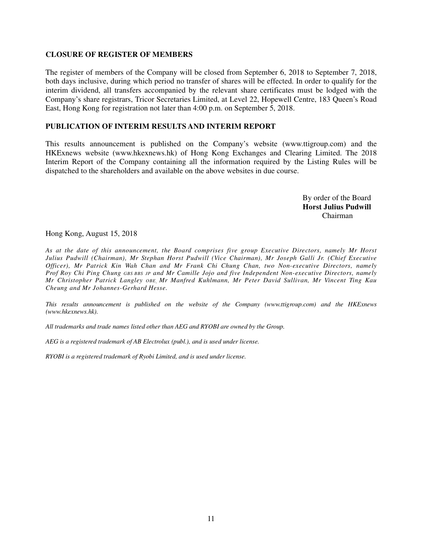## **CLOSURE OF REGISTER OF MEMBERS**

The register of members of the Company will be closed from September 6, 2018 to September 7, 2018, both days inclusive, during which period no transfer of shares will be effected. In order to qualify for the interim dividend, all transfers accompanied by the relevant share certificates must be lodged with the Company's share registrars, Tricor Secretaries Limited, at Level 22, Hopewell Centre, 183 Queen's Road East, Hong Kong for registration not later than 4:00 p.m. on September 5, 2018.

#### **PUBLICATION OF INTERIM RESULTS AND INTERIM REPORT**

This results announcement is published on the Company's website (www.ttigroup.com) and the HKExnews website (www.hkexnews.hk) of Hong Kong Exchanges and Clearing Limited. The 2018 Interim Report of the Company containing all the information required by the Listing Rules will be dispatched to the shareholders and available on the above websites in due course.

> By order of the Board **Horst Julius Pudwill**  Chairman

Hong Kong, August 15, 2018

*As at the date of this announcement, the Board comprises five group Executive Directors, namely Mr Horst Julius Pudwill (Chairman), Mr Stephan Horst Pudwill (Vice Chairman), Mr Joseph Galli Jr. (Chief Executive Officer), Mr Patrick Kin Wah Chan and Mr Frank Chi Chung Chan, two Non-executive Directors, namely Prof Roy Chi Ping Chung GBS BBS JP and Mr Camille Jojo and five Independent Non-executive Directors, namely Mr Christopher Patrick Langley OBE, Mr Manfred Kuhlmann, Mr Peter David Sullivan, Mr Vincent Ting Kau Cheung and Mr Johannes-Gerhard Hesse.*

*This results announcement is published on the website of the Company (www.ttigroup.com) and the HKExnews (www.hkexnews.hk).* 

*All trademarks and trade names listed other than AEG and RYOBI are owned by the Group.* 

*AEG is a registered trademark of AB Electrolux (publ.), and is used under license.* 

*RYOBI is a registered trademark of Ryobi Limited, and is used under license.*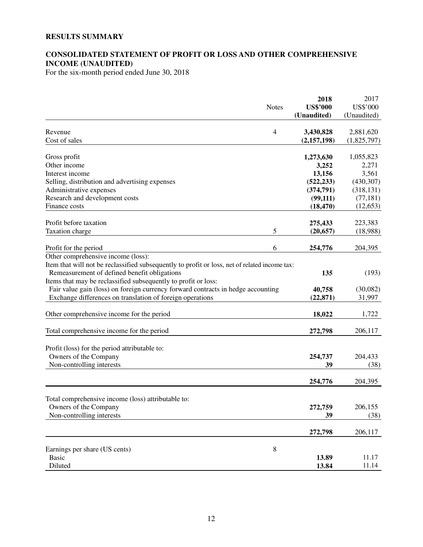## **RESULTS SUMMARY**

## **CONSOLIDATED STATEMENT OF PROFIT OR LOSS AND OTHER COMPREHENSIVE INCOME (UNAUDITED)**

For the six-month period ended June 30, 2018

|                                                                                               |                | 2018                           | 2017                    |
|-----------------------------------------------------------------------------------------------|----------------|--------------------------------|-------------------------|
|                                                                                               | <b>Notes</b>   | <b>US\$'000</b><br>(Unaudited) | US\$'000<br>(Unaudited) |
|                                                                                               |                |                                |                         |
| Revenue                                                                                       | $\overline{4}$ | 3,430,828                      | 2,881,620               |
| Cost of sales                                                                                 |                | (2, 157, 198)                  | (1,825,797)             |
|                                                                                               |                |                                |                         |
| Gross profit<br>Other income                                                                  |                | 1,273,630                      | 1,055,823               |
| Interest income                                                                               |                | 3,252<br>13,156                | 2,271<br>3,561          |
| Selling, distribution and advertising expenses                                                |                | (522, 233)                     | (430, 307)              |
| Administrative expenses                                                                       |                | (374, 791)                     | (318, 131)              |
|                                                                                               |                | (99, 111)                      | (77, 181)               |
| Research and development costs<br>Finance costs                                               |                | (18, 470)                      | (12, 653)               |
|                                                                                               |                |                                |                         |
| Profit before taxation                                                                        |                | 275,433                        | 223,383                 |
| Taxation charge                                                                               | 5              | (20, 657)                      | (18,988)                |
|                                                                                               |                |                                |                         |
| Profit for the period                                                                         | 6              | 254,776                        | 204,395                 |
| Other comprehensive income (loss):                                                            |                |                                |                         |
| Item that will not be reclassified subsequently to profit or loss, net of related income tax: |                |                                |                         |
| Remeasurement of defined benefit obligations                                                  |                | 135                            | (193)                   |
| Items that may be reclassified subsequently to profit or loss:                                |                |                                |                         |
| Fair value gain (loss) on foreign currency forward contracts in hedge accounting              |                | 40,758                         | (30,082)                |
| Exchange differences on translation of foreign operations                                     |                | (22, 871)                      | 31,997                  |
| Other comprehensive income for the period                                                     |                | 18,022                         | 1,722                   |
|                                                                                               |                |                                |                         |
| Total comprehensive income for the period                                                     |                | 272,798                        | 206,117                 |
|                                                                                               |                |                                |                         |
| Profit (loss) for the period attributable to:                                                 |                |                                |                         |
| Owners of the Company                                                                         |                | 254,737                        | 204,433                 |
| Non-controlling interests                                                                     |                | 39                             | (38)                    |
|                                                                                               |                | 254,776                        | 204,395                 |
|                                                                                               |                |                                |                         |
| Total comprehensive income (loss) attributable to:                                            |                |                                |                         |
| Owners of the Company                                                                         |                | 272,759                        | 206,155                 |
| Non-controlling interests                                                                     |                | 39                             | (38)                    |
|                                                                                               |                | 272,798                        | 206,117                 |
|                                                                                               |                |                                |                         |
| Earnings per share (US cents)                                                                 | 8              |                                |                         |
| <b>Basic</b>                                                                                  |                | 13.89                          | 11.17                   |
| Diluted                                                                                       |                | 13.84                          | 11.14                   |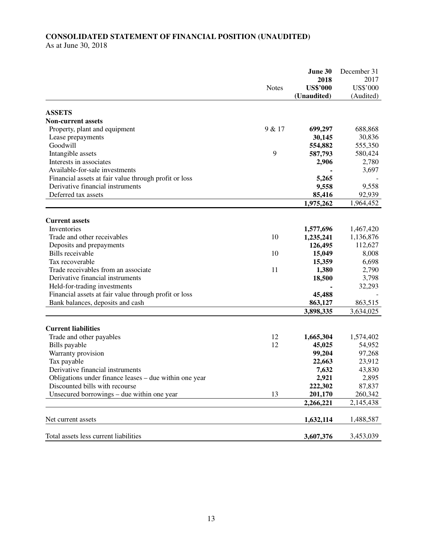# **CONSOLIDATED STATEMENT OF FINANCIAL POSITION (UNAUDITED)**

As at June 30, 2018

|                                                        |              | June 30         | December 31 |
|--------------------------------------------------------|--------------|-----------------|-------------|
|                                                        |              | 2018            | 2017        |
|                                                        | <b>Notes</b> | <b>US\$'000</b> | US\$'000    |
|                                                        |              | (Unaudited)     | (Audited)   |
| <b>ASSETS</b>                                          |              |                 |             |
| <b>Non-current assets</b>                              |              |                 |             |
| Property, plant and equipment                          | 9 & 17       | 699,297         | 688,868     |
| Lease prepayments                                      |              | 30,145          | 30,836      |
| Goodwill                                               |              | 554,882         | 555,350     |
| Intangible assets                                      | 9            | 587,793         | 580,424     |
| Interests in associates                                |              | 2,906           | 2,780       |
| Available-for-sale investments                         |              |                 | 3,697       |
| Financial assets at fair value through profit or loss  |              | 5,265           |             |
| Derivative financial instruments                       |              |                 | 9,558       |
| Deferred tax assets                                    |              | 9,558           | 92,939      |
|                                                        |              | 85,416          |             |
|                                                        |              | 1,975,262       | 1,964,452   |
| <b>Current assets</b>                                  |              |                 |             |
| Inventories                                            |              | 1,577,696       | 1,467,420   |
| Trade and other receivables                            | 10           | 1,235,241       | 1,136,876   |
| Deposits and prepayments                               |              | 126,495         | 112,627     |
| <b>Bills</b> receivable                                | 10           | 15,049          | 8,008       |
| Tax recoverable                                        |              | 15,359          | 6,698       |
| Trade receivables from an associate                    | 11           | 1,380           | 2,790       |
| Derivative financial instruments                       |              | 18,500          | 3,798       |
| Held-for-trading investments                           |              |                 | 32,293      |
| Financial assets at fair value through profit or loss  |              | 45,488          |             |
| Bank balances, deposits and cash                       |              | 863,127         | 863,515     |
|                                                        |              | 3,898,335       | 3,634,025   |
|                                                        |              |                 |             |
| <b>Current liabilities</b>                             |              |                 |             |
| Trade and other payables                               | 12           | 1,665,304       | 1,574,402   |
| Bills payable                                          | 12           | 45,025          | 54,952      |
| Warranty provision                                     |              | 99,204          | 97,268      |
| Tax payable                                            |              | 22,663          | 23,912      |
| Derivative financial instruments                       |              | 7,632           | 43,830      |
| Obligations under finance leases – due within one year |              | 2,921           | 2,895       |
| Discounted bills with recourse                         |              | 222,302         | 87,837      |
| Unsecured borrowings – due within one year             | 13           | 201,170         | 260,342     |
|                                                        |              | 2,266,221       | 2,145,438   |
|                                                        |              |                 |             |
| Net current assets                                     |              | 1,632,114       | 1,488,587   |
| Total assets less current liabilities                  |              | 3,607,376       | 3,453,039   |
|                                                        |              |                 |             |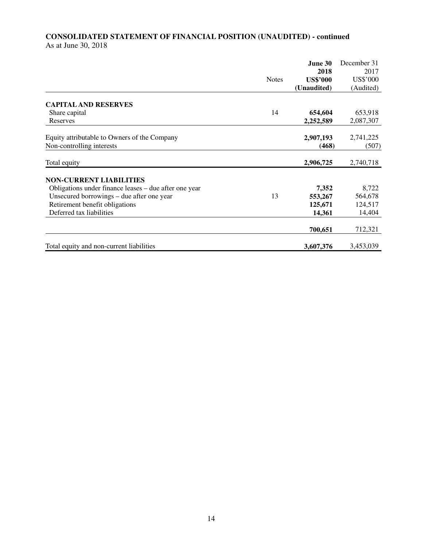## **CONSOLIDATED STATEMENT OF FINANCIAL POSITION (UNAUDITED) - continued**  As at June 30, 2018

|                                                       |              | June 30         | December 31 |
|-------------------------------------------------------|--------------|-----------------|-------------|
|                                                       |              | 2018            | 2017        |
|                                                       | <b>Notes</b> | <b>US\$'000</b> | US\$'000    |
|                                                       |              | (Unaudited)     | (Audited)   |
| <b>CAPITAL AND RESERVES</b>                           |              |                 |             |
| Share capital                                         | 14           | 654,604         | 653,918     |
| Reserves                                              |              | 2,252,589       | 2,087,307   |
| Equity attributable to Owners of the Company          |              | 2,907,193       | 2,741,225   |
| Non-controlling interests                             |              | (468)           | (507)       |
| Total equity                                          |              | 2,906,725       | 2,740,718   |
| <b>NON-CURRENT LIABILITIES</b>                        |              |                 |             |
| Obligations under finance leases – due after one year |              | 7,352           | 8,722       |
| Unsecured borrowings – due after one year             | 13           | 553,267         | 564,678     |
| Retirement benefit obligations                        |              | 125,671         | 124,517     |
| Deferred tax liabilities                              |              | 14,361          | 14,404      |
|                                                       |              | 700,651         | 712,321     |
| Total equity and non-current liabilities              |              | 3,607,376       | 3,453,039   |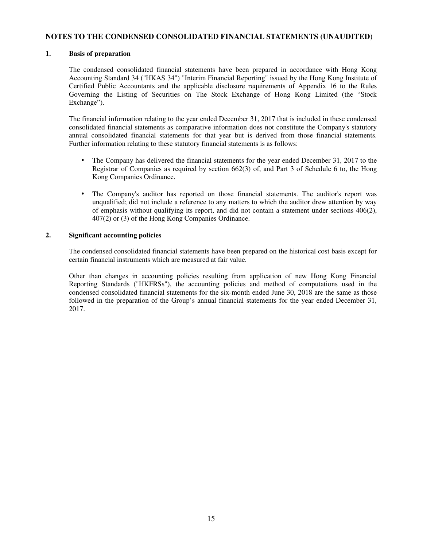#### **NOTES TO THE CONDENSED CONSOLIDATED FINANCIAL STATEMENTS (UNAUDITED)**

#### **1. Basis of preparation**

The condensed consolidated financial statements have been prepared in accordance with Hong Kong Accounting Standard 34 ("HKAS 34") "Interim Financial Reporting" issued by the Hong Kong Institute of Certified Public Accountants and the applicable disclosure requirements of Appendix 16 to the Rules Governing the Listing of Securities on The Stock Exchange of Hong Kong Limited (the "Stock Exchange").

The financial information relating to the year ended December 31, 2017 that is included in these condensed consolidated financial statements as comparative information does not constitute the Company's statutory annual consolidated financial statements for that year but is derived from those financial statements. Further information relating to these statutory financial statements is as follows:

- The Company has delivered the financial statements for the year ended December 31, 2017 to the Registrar of Companies as required by section 662(3) of, and Part 3 of Schedule 6 to, the Hong Kong Companies Ordinance.
- The Company's auditor has reported on those financial statements. The auditor's report was unqualified; did not include a reference to any matters to which the auditor drew attention by way of emphasis without qualifying its report, and did not contain a statement under sections 406(2), 407(2) or (3) of the Hong Kong Companies Ordinance.

#### **2. Significant accounting policies**

The condensed consolidated financial statements have been prepared on the historical cost basis except for certain financial instruments which are measured at fair value.

Other than changes in accounting policies resulting from application of new Hong Kong Financial Reporting Standards ("HKFRSs"), the accounting policies and method of computations used in the condensed consolidated financial statements for the six-month ended June 30, 2018 are the same as those followed in the preparation of the Group's annual financial statements for the year ended December 31, 2017.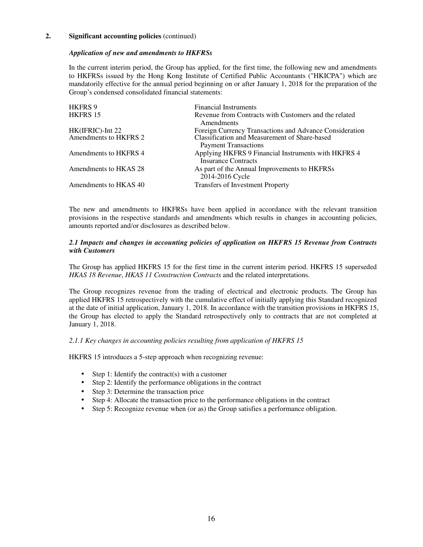#### *Application of new and amendments to HKFRSs*

In the current interim period, the Group has applied, for the first time, the following new and amendments to HKFRSs issued by the Hong Kong Institute of Certified Public Accountants ("HKICPA") which are mandatorily effective for the annual period beginning on or after January 1, 2018 for the preparation of the Group's condensed consolidated financial statements:

| <b>HKFRS 9</b>        | <b>Financial Instruments</b>                                                      |
|-----------------------|-----------------------------------------------------------------------------------|
| HKFRS 15              | Revenue from Contracts with Customers and the related<br>Amendments               |
| HK(IFRIC)-Int 22      | Foreign Currency Transactions and Advance Consideration                           |
| Amendments to HKFRS 2 | Classification and Measurement of Share-based                                     |
|                       | <b>Payment Transactions</b>                                                       |
| Amendments to HKFRS 4 | Applying HKFRS 9 Financial Instruments with HKFRS 4<br><b>Insurance Contracts</b> |
| Amendments to HKAS 28 | As part of the Annual Improvements to HKFRSs<br>2014-2016 Cycle                   |
| Amendments to HKAS 40 | <b>Transfers of Investment Property</b>                                           |

The new and amendments to HKFRSs have been applied in accordance with the relevant transition provisions in the respective standards and amendments which results in changes in accounting policies, amounts reported and/or disclosures as described below.

#### *2.1 Impacts and changes in accounting policies of application on HKFRS 15 Revenue from Contracts with Customers*

The Group has applied HKFRS 15 for the first time in the current interim period. HKFRS 15 superseded *HKAS 18 Revenue*, *HKAS 11 Construction Contracts* and the related interpretations.

The Group recognizes revenue from the trading of electrical and electronic products. The Group has applied HKFRS 15 retrospectively with the cumulative effect of initially applying this Standard recognized at the date of initial application, January 1, 2018. In accordance with the transition provisions in HKFRS 15, the Group has elected to apply the Standard retrospectively only to contracts that are not completed at January 1, 2018.

#### *2.1.1 Key changes in accounting policies resulting from application of HKFRS 15*

HKFRS 15 introduces a 5-step approach when recognizing revenue:

- Step 1: Identify the contract(s) with a customer
- Step 2: Identify the performance obligations in the contract
- Step 3: Determine the transaction price
- Step 4: Allocate the transaction price to the performance obligations in the contract
- Step 5: Recognize revenue when (or as) the Group satisfies a performance obligation.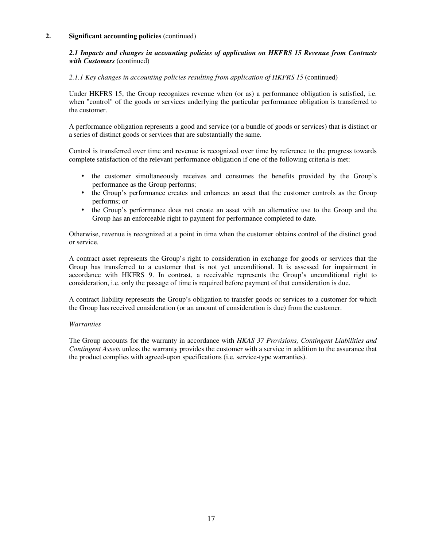#### *2.1 Impacts and changes in accounting policies of application on HKFRS 15 Revenue from Contracts with Customers* (continued)

#### *2.1.1 Key changes in accounting policies resulting from application of HKFRS 15* (continued)

Under HKFRS 15, the Group recognizes revenue when (or as) a performance obligation is satisfied, i.e. when "control" of the goods or services underlying the particular performance obligation is transferred to the customer.

A performance obligation represents a good and service (or a bundle of goods or services) that is distinct or a series of distinct goods or services that are substantially the same.

Control is transferred over time and revenue is recognized over time by reference to the progress towards complete satisfaction of the relevant performance obligation if one of the following criteria is met:

- the customer simultaneously receives and consumes the benefits provided by the Group's performance as the Group performs;
- the Group's performance creates and enhances an asset that the customer controls as the Group performs; or
- the Group's performance does not create an asset with an alternative use to the Group and the Group has an enforceable right to payment for performance completed to date.

Otherwise, revenue is recognized at a point in time when the customer obtains control of the distinct good or service.

A contract asset represents the Group's right to consideration in exchange for goods or services that the Group has transferred to a customer that is not yet unconditional. It is assessed for impairment in accordance with HKFRS 9. In contrast, a receivable represents the Group's unconditional right to consideration, i.e. only the passage of time is required before payment of that consideration is due.

A contract liability represents the Group's obligation to transfer goods or services to a customer for which the Group has received consideration (or an amount of consideration is due) from the customer.

#### *Warranties*

The Group accounts for the warranty in accordance with *HKAS 37 Provisions, Contingent Liabilities and Contingent Assets* unless the warranty provides the customer with a service in addition to the assurance that the product complies with agreed-upon specifications (i.e. service-type warranties).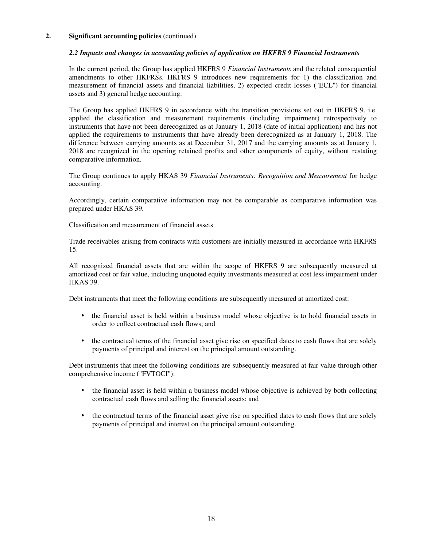#### *2.2 Impacts and changes in accounting policies of application on HKFRS 9 Financial Instruments*

In the current period, the Group has applied HKFRS 9 *Financial Instruments* and the related consequential amendments to other HKFRSs. HKFRS 9 introduces new requirements for 1) the classification and measurement of financial assets and financial liabilities, 2) expected credit losses ("ECL") for financial assets and 3) general hedge accounting.

The Group has applied HKFRS 9 in accordance with the transition provisions set out in HKFRS 9. i.e. applied the classification and measurement requirements (including impairment) retrospectively to instruments that have not been derecognized as at January 1, 2018 (date of initial application) and has not applied the requirements to instruments that have already been derecognized as at January 1, 2018. The difference between carrying amounts as at December 31, 2017 and the carrying amounts as at January 1, 2018 are recognized in the opening retained profits and other components of equity, without restating comparative information.

The Group continues to apply HKAS 39 *Financial Instruments: Recognition and Measurement* for hedge accounting.

Accordingly, certain comparative information may not be comparable as comparative information was prepared under HKAS 39*.* 

#### Classification and measurement of financial assets

Trade receivables arising from contracts with customers are initially measured in accordance with HKFRS 15.

All recognized financial assets that are within the scope of HKFRS 9 are subsequently measured at amortized cost or fair value, including unquoted equity investments measured at cost less impairment under HKAS 39.

Debt instruments that meet the following conditions are subsequently measured at amortized cost:

- the financial asset is held within a business model whose objective is to hold financial assets in order to collect contractual cash flows; and
- the contractual terms of the financial asset give rise on specified dates to cash flows that are solely payments of principal and interest on the principal amount outstanding.

Debt instruments that meet the following conditions are subsequently measured at fair value through other comprehensive income ("FVTOCI"):

- the financial asset is held within a business model whose objective is achieved by both collecting contractual cash flows and selling the financial assets; and
- the contractual terms of the financial asset give rise on specified dates to cash flows that are solely payments of principal and interest on the principal amount outstanding.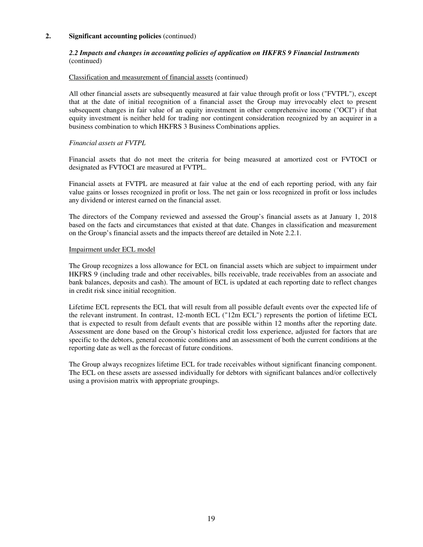#### *2.2 Impacts and changes in accounting policies of application on HKFRS 9 Financial Instruments*  (continued)

#### Classification and measurement of financial assets (continued)

All other financial assets are subsequently measured at fair value through profit or loss ("FVTPL"), except that at the date of initial recognition of a financial asset the Group may irrevocably elect to present subsequent changes in fair value of an equity investment in other comprehensive income ("OCI") if that equity investment is neither held for trading nor contingent consideration recognized by an acquirer in a business combination to which HKFRS 3 Business Combinations applies.

#### *Financial assets at FVTPL*

Financial assets that do not meet the criteria for being measured at amortized cost or FVTOCI or designated as FVTOCI are measured at FVTPL.

Financial assets at FVTPL are measured at fair value at the end of each reporting period, with any fair value gains or losses recognized in profit or loss. The net gain or loss recognized in profit or loss includes any dividend or interest earned on the financial asset.

The directors of the Company reviewed and assessed the Group's financial assets as at January 1, 2018 based on the facts and circumstances that existed at that date. Changes in classification and measurement on the Group's financial assets and the impacts thereof are detailed in Note 2.2.1.

#### Impairment under ECL model

The Group recognizes a loss allowance for ECL on financial assets which are subject to impairment under HKFRS 9 (including trade and other receivables, bills receivable, trade receivables from an associate and bank balances, deposits and cash). The amount of ECL is updated at each reporting date to reflect changes in credit risk since initial recognition.

Lifetime ECL represents the ECL that will result from all possible default events over the expected life of the relevant instrument. In contrast, 12-month ECL ("12m ECL") represents the portion of lifetime ECL that is expected to result from default events that are possible within 12 months after the reporting date. Assessment are done based on the Group's historical credit loss experience, adjusted for factors that are specific to the debtors, general economic conditions and an assessment of both the current conditions at the reporting date as well as the forecast of future conditions.

The Group always recognizes lifetime ECL for trade receivables without significant financing component. The ECL on these assets are assessed individually for debtors with significant balances and/or collectively using a provision matrix with appropriate groupings.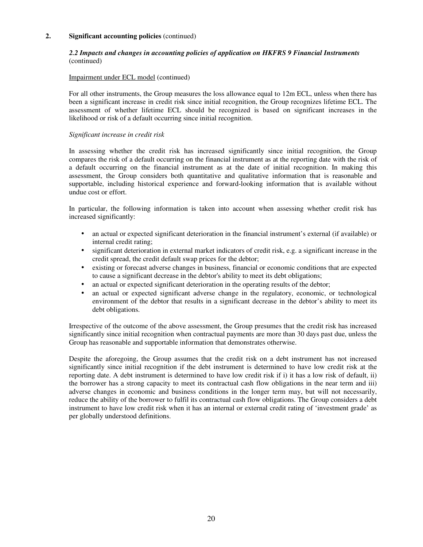#### *2.2 Impacts and changes in accounting policies of application on HKFRS 9 Financial Instruments*  (continued)

#### Impairment under ECL model (continued)

For all other instruments, the Group measures the loss allowance equal to 12m ECL, unless when there has been a significant increase in credit risk since initial recognition, the Group recognizes lifetime ECL. The assessment of whether lifetime ECL should be recognized is based on significant increases in the likelihood or risk of a default occurring since initial recognition.

#### *Significant increase in credit risk*

In assessing whether the credit risk has increased significantly since initial recognition, the Group compares the risk of a default occurring on the financial instrument as at the reporting date with the risk of a default occurring on the financial instrument as at the date of initial recognition. In making this assessment, the Group considers both quantitative and qualitative information that is reasonable and supportable, including historical experience and forward-looking information that is available without undue cost or effort.

In particular, the following information is taken into account when assessing whether credit risk has increased significantly:

- an actual or expected significant deterioration in the financial instrument's external (if available) or internal credit rating;
- significant deterioration in external market indicators of credit risk, e.g. a significant increase in the credit spread, the credit default swap prices for the debtor;
- existing or forecast adverse changes in business, financial or economic conditions that are expected to cause a significant decrease in the debtor's ability to meet its debt obligations;
- an actual or expected significant deterioration in the operating results of the debtor;
- an actual or expected significant adverse change in the regulatory, economic, or technological environment of the debtor that results in a significant decrease in the debtor's ability to meet its debt obligations.

Irrespective of the outcome of the above assessment, the Group presumes that the credit risk has increased significantly since initial recognition when contractual payments are more than 30 days past due, unless the Group has reasonable and supportable information that demonstrates otherwise.

Despite the aforegoing, the Group assumes that the credit risk on a debt instrument has not increased significantly since initial recognition if the debt instrument is determined to have low credit risk at the reporting date. A debt instrument is determined to have low credit risk if i) it has a low risk of default, ii) the borrower has a strong capacity to meet its contractual cash flow obligations in the near term and iii) adverse changes in economic and business conditions in the longer term may, but will not necessarily, reduce the ability of the borrower to fulfil its contractual cash flow obligations. The Group considers a debt instrument to have low credit risk when it has an internal or external credit rating of 'investment grade' as per globally understood definitions.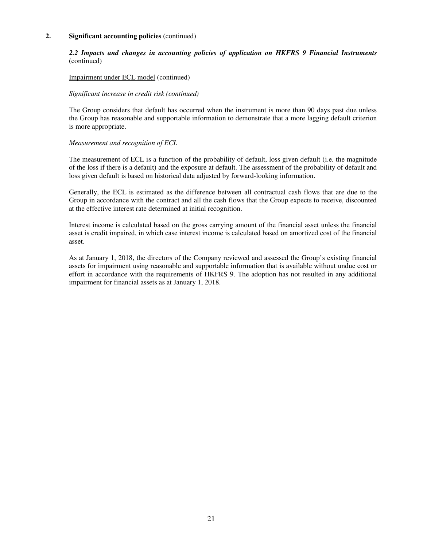#### *2.2 Impacts and changes in accounting policies of application on HKFRS 9 Financial Instruments*  (continued)

#### Impairment under ECL model (continued)

#### *Significant increase in credit risk (continued)*

The Group considers that default has occurred when the instrument is more than 90 days past due unless the Group has reasonable and supportable information to demonstrate that a more lagging default criterion is more appropriate.

#### *Measurement and recognition of ECL*

The measurement of ECL is a function of the probability of default, loss given default (i.e. the magnitude of the loss if there is a default) and the exposure at default. The assessment of the probability of default and loss given default is based on historical data adjusted by forward-looking information.

Generally, the ECL is estimated as the difference between all contractual cash flows that are due to the Group in accordance with the contract and all the cash flows that the Group expects to receive, discounted at the effective interest rate determined at initial recognition.

Interest income is calculated based on the gross carrying amount of the financial asset unless the financial asset is credit impaired, in which case interest income is calculated based on amortized cost of the financial asset.

As at January 1, 2018, the directors of the Company reviewed and assessed the Group's existing financial assets for impairment using reasonable and supportable information that is available without undue cost or effort in accordance with the requirements of HKFRS 9. The adoption has not resulted in any additional impairment for financial assets as at January 1, 2018.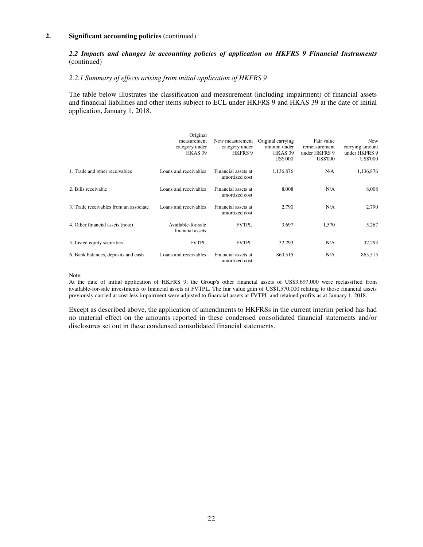### *2.2 Impacts and changes in accounting policies of application on HKFRS 9 Financial Instruments*  (continued)

#### *2.2.1 Summary of effects arising from initial application of HKFRS 9*

The table below illustrates the classification and measurement (including impairment) of financial assets and financial liabilities and other items subject to ECL under HKFRS 9 and HKAS 39 at the date of initial application, January 1, 2018.

|                                        | Original<br>measurement<br>category under<br>HKAS <sub>39</sub> | New measurement<br>category under<br>HKFRS 9 | Original carrying<br>amount under<br>HKAS <sub>39</sub><br><b>US\$'000</b> | Fair value<br>remeasurement<br>under HKFRS 9<br><b>US\$'000</b> | New<br>carrying amount<br>under HKFRS 9<br><b>US\$'000</b> |
|----------------------------------------|-----------------------------------------------------------------|----------------------------------------------|----------------------------------------------------------------------------|-----------------------------------------------------------------|------------------------------------------------------------|
| 1. Trade and other receivables         | Loans and receivables                                           | Financial assets at<br>amortized cost        | 1,136,876                                                                  | N/A                                                             | 1,136,876                                                  |
| 2. Bills receivable                    | Loans and receivables                                           | Financial assets at<br>amortized cost        | 8,008                                                                      | N/A                                                             | 8,008                                                      |
| 3. Trade receivables from an associate | Loans and receivables                                           | Financial assets at<br>amortized cost        | 2,790                                                                      | N/A                                                             | 2,790                                                      |
| 4. Other financial assets (note)       | Available-for-sale<br>financial assets                          | <b>FVTPL</b>                                 | 3,697                                                                      | 1,570                                                           | 5,267                                                      |
| 5. Listed equity securities            | <b>FVTPL</b>                                                    | <b>FVTPL</b>                                 | 32,293                                                                     | N/A                                                             | 32,293                                                     |
| 6. Bank balances, deposits and cash    | Loans and receivables                                           | Financial assets at<br>amortized cost        | 863,515                                                                    | N/A                                                             | 863,515                                                    |

#### Note:

At the date of initial application of HKFRS 9, the Group's other financial assets of US\$3,697,000 were reclassified from available-for-sale investments to financial assets at FVTPL. The fair value gain of US\$1,570,000 relating to those financial assets previously carried at cost less impairment were adjusted to financial assets at FVTPL and retained profits as at January 1, 2018.

Except as described above, the application of amendments to HKFRSs in the current interim period has had no material effect on the amounts reported in these condensed consolidated financial statements and/or disclosures set out in these condensed consolidated financial statements.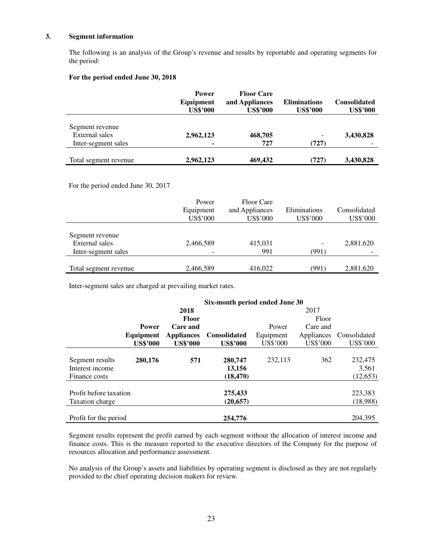#### **3. Segment information**

 The following is an analysis of the Group's revenue and results by reportable and operating segments for the period:

#### **For the period ended June 30, 2018**

|                                              | <b>Power</b><br>Equipment<br><b>US\$'000</b> | <b>Floor Care</b><br>and Appliances<br><b>US\$'000</b> | <b>Eliminations</b><br><b>US\$'000</b> | <b>Consolidated</b><br><b>US\$'000</b> |
|----------------------------------------------|----------------------------------------------|--------------------------------------------------------|----------------------------------------|----------------------------------------|
| Segment revenue<br>External sales            | 2,962,123                                    | 468,705<br>727                                         | $\qquad \qquad$                        | 3,430,828                              |
| Inter-segment sales<br>Total segment revenue | $\blacksquare$<br>2,962,123                  | 469,432                                                | (727)<br>(727)                         | 3,430,828                              |

For the period ended June 30, 2017

|                       | Power<br>Equipment<br>US\$'000 | <b>Floor Care</b><br>and Appliances<br>US\$'000 | Eliminations<br>US\$'000 | Consolidated<br>US\$'000 |
|-----------------------|--------------------------------|-------------------------------------------------|--------------------------|--------------------------|
| Segment revenue       |                                |                                                 |                          |                          |
| <b>External</b> sales | 2,466,589                      | 415,031                                         |                          | 2,881,620                |
| Inter-segment sales   |                                | 991                                             | (991)                    |                          |
| Total segment revenue | 2,466,589                      | 416,022                                         | (991)                    | 2,881,620                |

Inter-segment sales are charged at prevailing market rates.

|                        | Six-month period ended June 30 |                   |                     |           |            |              |
|------------------------|--------------------------------|-------------------|---------------------|-----------|------------|--------------|
|                        |                                | 2018              |                     |           | 2017       |              |
|                        |                                | <b>Floor</b>      |                     |           | Floor      |              |
|                        | <b>Power</b>                   | Care and          |                     | Power     | Care and   |              |
|                        | Equipment                      | <b>Appliances</b> | <b>Consolidated</b> | Equipment | Appliances | Consolidated |
|                        | <b>US\$'000</b>                | <b>US\$'000</b>   | <b>US\$'000</b>     | US\$'000  | US\$'000   | US\$'000     |
|                        |                                |                   |                     |           |            |              |
| Segment results        | 280,176                        | 571               | 280,747             | 232,113   | 362        | 232,475      |
| Interest income        |                                |                   | 13,156              |           |            | 3,561        |
| Finance costs          |                                |                   | (18, 470)           |           |            | (12, 653)    |
|                        |                                |                   |                     |           |            |              |
| Profit before taxation |                                |                   | 275,433             |           |            | 223,383      |
| Taxation charge        |                                |                   | (20, 657)           |           |            | (18,988)     |
|                        |                                |                   |                     |           |            |              |
| Profit for the period  |                                |                   | 254,776             |           |            | 204,395      |

Segment results represent the profit earned by each segment without the allocation of interest income and finance costs. This is the measure reported to the executive directors of the Company for the purpose of resources allocation and performance assessment.

No analysis of the Group's assets and liabilities by operating segment is disclosed as they are not regularly provided to the chief operating decision makers for review.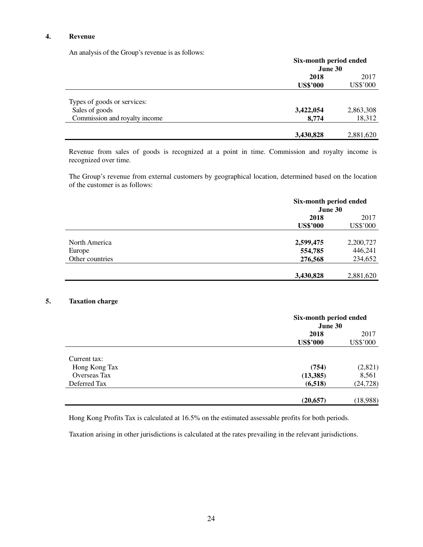#### **4. Revenue**

An analysis of the Group's revenue is as follows:

| The analysis of the Sloup stevenue to as follows. | Six-month period ended<br>June 30 |                  |  |
|---------------------------------------------------|-----------------------------------|------------------|--|
|                                                   | 2018<br><b>US\$'000</b>           | 2017<br>US\$'000 |  |
| Types of goods or services:                       |                                   |                  |  |
| Sales of goods                                    | 3,422,054                         | 2,863,308        |  |
| Commission and royalty income                     | 8,774                             | 18,312           |  |
|                                                   | 3,430,828                         | 2,881,620        |  |

Revenue from sales of goods is recognized at a point in time. Commission and royalty income is recognized over time.

The Group's revenue from external customers by geographical location, determined based on the location of the customer is as follows:

| Six-month period ended<br>June 30 |           |  |
|-----------------------------------|-----------|--|
| 2018<br><b>US\$'000</b>           |           |  |
|                                   |           |  |
| 2,599,475                         | 2,200,727 |  |
| 554,785                           | 446,241   |  |
| 276,568                           | 234,652   |  |
|                                   | 2,881,620 |  |
|                                   | 3,430,828 |  |

#### **5. Taxation charge**

|               |                 | Six-month period ended<br>June 30 |  |  |
|---------------|-----------------|-----------------------------------|--|--|
|               | 2018            | 2017                              |  |  |
|               | <b>US\$'000</b> | US\$'000                          |  |  |
| Current tax:  |                 |                                   |  |  |
| Hong Kong Tax | (754)           | (2,821)                           |  |  |
| Overseas Tax  | (13, 385)       | 8,561                             |  |  |
| Deferred Tax  | (6,518)         | (24, 728)                         |  |  |
|               | (20, 657)       | (18,988)                          |  |  |

Hong Kong Profits Tax is calculated at 16.5% on the estimated assessable profits for both periods.

Taxation arising in other jurisdictions is calculated at the rates prevailing in the relevant jurisdictions.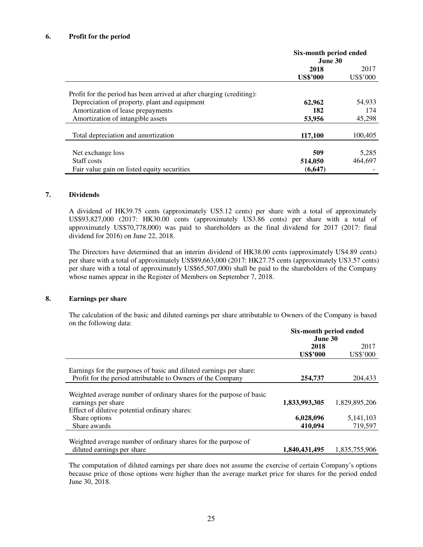#### **6. Profit for the period**

|                                                                       | Six-month period ended<br>June 30 |          |  |
|-----------------------------------------------------------------------|-----------------------------------|----------|--|
|                                                                       | 2018                              | 2017     |  |
|                                                                       | <b>US\$'000</b>                   | US\$'000 |  |
| Profit for the period has been arrived at after charging (crediting): |                                   |          |  |
| Depreciation of property, plant and equipment                         | 62,962                            | 54,933   |  |
| Amortization of lease prepayments                                     | 182                               | 174      |  |
| Amortization of intangible assets                                     | 53,956                            | 45,298   |  |
| Total depreciation and amortization                                   | 117,100                           | 100,405  |  |
|                                                                       |                                   |          |  |
| Net exchange loss                                                     | 509                               | 5,285    |  |
| Staff costs                                                           | 514,050                           | 464,697  |  |
| Fair value gain on listed equity securities                           | (6, 647)                          |          |  |

#### **7. Dividends**

A dividend of HK39.75 cents (approximately US5.12 cents) per share with a total of approximately US\$93,827,000 (2017: HK30.00 cents (approximately US3.86 cents) per share with a total of approximately US\$70,778,000) was paid to shareholders as the final dividend for 2017 (2017: final dividend for 2016) on June 22, 2018.

The Directors have determined that an interim dividend of HK38.00 cents (approximately US4.89 cents) per share with a total of approximately US\$89,663,000 (2017: HK27.75 cents (approximately US3.57 cents) per share with a total of approximately US\$65,507,000) shall be paid to the shareholders of the Company whose names appear in the Register of Members on September 7, 2018.

#### **8. Earnings per share**

The calculation of the basic and diluted earnings per share attributable to Owners of the Company is based on the following data:

|                                                                                                                                   | Six-month period ended<br>June 30 |               |
|-----------------------------------------------------------------------------------------------------------------------------------|-----------------------------------|---------------|
|                                                                                                                                   | 2018<br>2017                      |               |
|                                                                                                                                   | <b>US\$'000</b>                   | US\$'000      |
| Earnings for the purposes of basic and diluted earnings per share:<br>Profit for the period attributable to Owners of the Company | 254,737                           | 204.433       |
|                                                                                                                                   |                                   |               |
| Weighted average number of ordinary shares for the purpose of basic<br>earnings per share                                         | 1,833,993,305                     | 1,829,895,206 |
| Effect of dilutive potential ordinary shares:                                                                                     |                                   |               |
| Share options                                                                                                                     | 6,028,096                         | 5,141,103     |
| Share awards                                                                                                                      | 410.094                           | 719,597       |
|                                                                                                                                   |                                   |               |
| Weighted average number of ordinary shares for the purpose of                                                                     |                                   |               |
| diluted earnings per share                                                                                                        | 1,840,431,495                     | 1.835.755.906 |

The computation of diluted earnings per share does not assume the exercise of certain Company's options because price of those options were higher than the average market price for shares for the period ended June 30, 2018.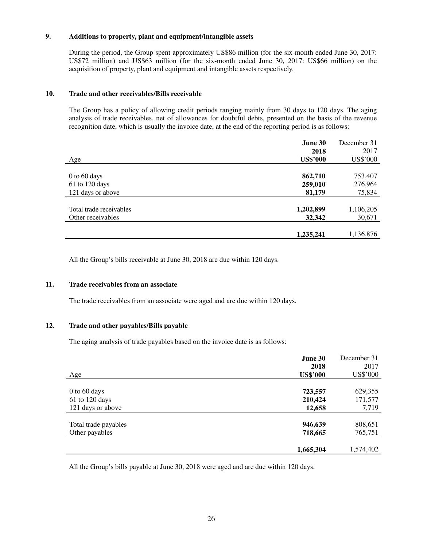## **9. Additions to property, plant and equipment/intangible assets**

During the period, the Group spent approximately US\$86 million (for the six-month ended June 30, 2017: US\$72 million) and US\$63 million (for the six-month ended June 30, 2017: US\$66 million) on the acquisition of property, plant and equipment and intangible assets respectively.

#### **10. Trade and other receivables/Bills receivable**

The Group has a policy of allowing credit periods ranging mainly from 30 days to 120 days. The aging analysis of trade receivables, net of allowances for doubtful debts, presented on the basis of the revenue recognition date, which is usually the invoice date, at the end of the reporting period is as follows:

|                         | June 30         | December 31 |
|-------------------------|-----------------|-------------|
|                         | 2018            | 2017        |
| Age                     | <b>US\$'000</b> | US\$'000    |
|                         |                 |             |
| 0 to 60 days            | 862,710         | 753,407     |
| 61 to 120 days          | 259,010         | 276,964     |
| 121 days or above       | 81,179          | 75,834      |
|                         |                 |             |
| Total trade receivables | 1,202,899       | 1,106,205   |
| Other receivables       | 32,342          | 30,671      |
|                         |                 |             |
|                         | 1,235,241       | 1,136,876   |

All the Group's bills receivable at June 30, 2018 are due within 120 days.

#### **11. Trade receivables from an associate**

The trade receivables from an associate were aged and are due within 120 days.

#### **12. Trade and other payables/Bills payable**

The aging analysis of trade payables based on the invoice date is as follows:

| Age                  | June 30<br>2018<br><b>US\$'000</b> | December 31<br>2017<br>US\$'000 |
|----------------------|------------------------------------|---------------------------------|
|                      |                                    |                                 |
| $0$ to 60 days       | 723,557                            | 629,355                         |
| 61 to 120 days       | 210,424                            | 171,577                         |
| 121 days or above    | 12,658                             | 7,719                           |
|                      |                                    |                                 |
| Total trade payables | 946,639                            | 808,651                         |
| Other payables       | 718,665                            | 765,751                         |
|                      | 1,665,304                          | 1,574,402                       |

All the Group's bills payable at June 30, 2018 were aged and are due within 120 days.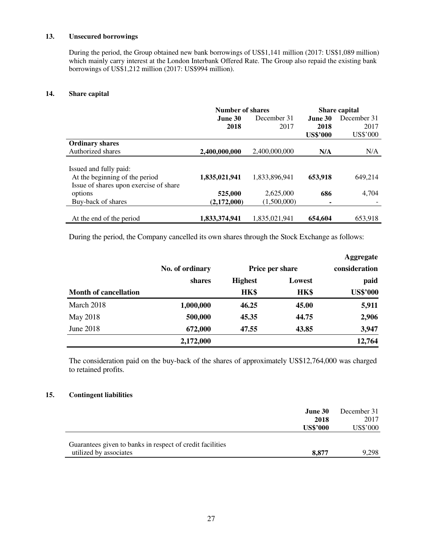## **13. Unsecured borrowings**

During the period, the Group obtained new bank borrowings of US\$1,141 million (2017: US\$1,089 million) which mainly carry interest at the London Interbank Offered Rate. The Group also repaid the existing bank borrowings of US\$1,212 million (2017: US\$994 million).

## **14. Share capital**

|                                                                                                    | <b>Number of shares</b> |               | Share capital   |             |
|----------------------------------------------------------------------------------------------------|-------------------------|---------------|-----------------|-------------|
|                                                                                                    | June 30                 | December 31   | June 30         | December 31 |
|                                                                                                    | 2018                    | 2017          | 2018            | 2017        |
|                                                                                                    |                         |               | <b>US\$'000</b> | US\$'000    |
| <b>Ordinary shares</b>                                                                             |                         |               |                 |             |
| Authorized shares                                                                                  | 2,400,000,000           | 2,400,000,000 | N/A             | N/A         |
| Issued and fully paid:<br>At the beginning of the period<br>Issue of shares upon exercise of share | 1,835,021,941           | 1,833,896,941 | 653,918         | 649,214     |
| options                                                                                            | 525,000                 | 2,625,000     | 686             | 4,704       |
| Buy-back of shares                                                                                 | (2,172,000)             | (1.500.000)   | ٠               |             |
| At the end of the period                                                                           | 1,833,374,941           | 1.835.021.941 | 654,604         | 653.918     |

During the period, the Company cancelled its own shares through the Stock Exchange as follows:

|                              |                           |                 |        | <b>Aggregate</b> |
|------------------------------|---------------------------|-----------------|--------|------------------|
|                              | No. of ordinary<br>shares | Price per share |        | consideration    |
|                              |                           | <b>Highest</b>  | Lowest | paid             |
| <b>Month of cancellation</b> |                           | HK\$            | HK\$   | <b>US\$'000</b>  |
| March 2018                   | 1,000,000                 | 46.25           | 45.00  | 5,911            |
| May 2018                     | 500,000                   | 45.35           | 44.75  | 2,906            |
| June 2018                    | 672,000                   | 47.55           | 43.85  | 3,947            |
|                              | 2,172,000                 |                 |        | 12,764           |

The consideration paid on the buy-back of the shares of approximately US\$12,764,000 was charged to retained profits.

## **15. Contingent liabilities**

|                                                           | <b>June 30</b>  | December 31 |
|-----------------------------------------------------------|-----------------|-------------|
|                                                           | 2018            | 2017        |
|                                                           | <b>US\$'000</b> | US\$'000    |
|                                                           |                 |             |
| Guarantees given to banks in respect of credit facilities |                 |             |
| utilized by associates                                    | 8.877           | 9.298       |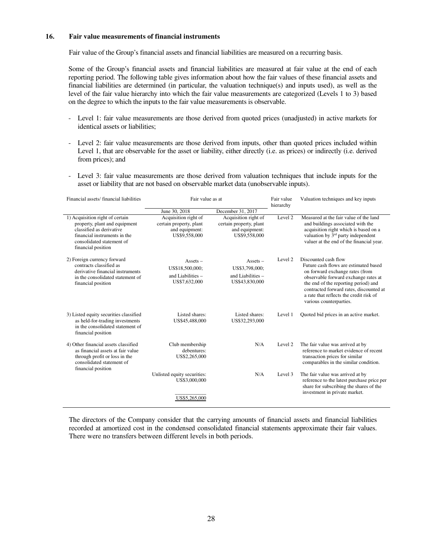#### **16. Fair value measurements of financial instruments**

Fair value of the Group's financial assets and financial liabilities are measured on a recurring basis.

Some of the Group's financial assets and financial liabilities are measured at fair value at the end of each reporting period. The following table gives information about how the fair values of these financial assets and financial liabilities are determined (in particular, the valuation technique(s) and inputs used), as well as the level of the fair value hierarchy into which the fair value measurements are categorized (Levels 1 to 3) based on the degree to which the inputs to the fair value measurements is observable.

- Level 1: fair value measurements are those derived from quoted prices (unadjusted) in active markets for identical assets or liabilities;
- Level 2: fair value measurements are those derived from inputs, other than quoted prices included within Level 1, that are observable for the asset or liability, either directly (i.e. as prices) or indirectly (i.e. derived from prices); and
- Level 3: fair value measurements are those derived from valuation techniques that include inputs for the asset or liability that are not based on observable market data (unobservable inputs).

| Financial assets/financial liabilities                                                                                                                                          | Fair value as at                                                                   |                                                                                    |                    |                                                                                                                                                                                                                                                                                                   | Fair value<br>hierarchy | Valuation techniques and key inputs |
|---------------------------------------------------------------------------------------------------------------------------------------------------------------------------------|------------------------------------------------------------------------------------|------------------------------------------------------------------------------------|--------------------|---------------------------------------------------------------------------------------------------------------------------------------------------------------------------------------------------------------------------------------------------------------------------------------------------|-------------------------|-------------------------------------|
|                                                                                                                                                                                 | June 30, 2018                                                                      | December 31, 2017                                                                  |                    |                                                                                                                                                                                                                                                                                                   |                         |                                     |
| 1) Acquisition right of certain<br>property, plant and equipment<br>classified as derivative<br>financial instruments in the<br>consolidated statement of<br>financial position | Acquisition right of<br>certain property, plant<br>and equipment:<br>US\$9,558,000 | Acquisition right of<br>certain property, plant<br>and equipment:<br>US\$9,558,000 | Level <sub>2</sub> | Measured at the fair value of the land<br>and buildings associated with the<br>acquisition right which is based on a<br>valuation by 3 <sup>rd</sup> party independent<br>valuer at the end of the financial year.                                                                                |                         |                                     |
| 2) Foreign currency forward<br>contracts classified as<br>derivative financial instruments<br>in the consolidated statement of<br>financial position                            | $Assets -$<br>US\$18,500,000;<br>and Liabilities $-$<br>US\$7,632,000              | $Assets -$<br>US\$3,798,000;<br>and Liabilities $-$<br>US\$43,830,000              | Level 2            | Discounted cash flow<br>Future cash flows are estimated based<br>on forward exchange rates (from<br>observable forward exchange rates at<br>the end of the reporting period) and<br>contracted forward rates, discounted at<br>a rate that reflects the credit risk of<br>various counterparties. |                         |                                     |
| 3) Listed equity securities classified<br>as held-for-trading investments<br>in the consolidated statement of<br>financial position                                             | Listed shares:<br>US\$45,488,000                                                   | Listed shares:<br>US\$32,293,000                                                   | Level 1            | Quoted bid prices in an active market.                                                                                                                                                                                                                                                            |                         |                                     |
| 4) Other financial assets classified<br>as financial assets at fair value<br>through profit or loss in the<br>consolidated statement of                                         | Club membership<br>debentures:<br>US\$2,265,000                                    | N/A                                                                                | Level 2            | The fair value was arrived at by<br>reference to market evidence of recent<br>transaction prices for similar<br>comparables in the similar condition.                                                                                                                                             |                         |                                     |
|                                                                                                                                                                                 | Unlisted equity securities:<br>US\$3,000,000<br>US\$5,265,000                      | N/A                                                                                | Level 3            | The fair value was arrived at by<br>reference to the latest purchase price per<br>share for subscribing the shares of the<br>investment in private market.                                                                                                                                        |                         |                                     |
| financial position                                                                                                                                                              |                                                                                    |                                                                                    |                    |                                                                                                                                                                                                                                                                                                   |                         |                                     |

The directors of the Company consider that the carrying amounts of financial assets and financial liabilities recorded at amortized cost in the condensed consolidated financial statements approximate their fair values. There were no transfers between different levels in both periods.